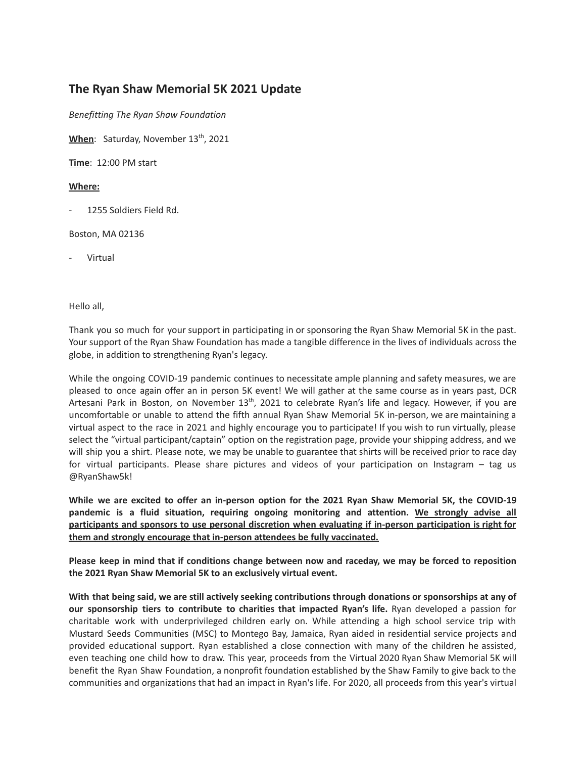## **The Ryan Shaw Memorial 5K 2021 Update**

*Benefitting The Ryan Shaw Foundation*

**When**: Saturday, November 13<sup>th</sup>, 2021

**Time**: 12:00 PM start

## **Where:**

1255 Soldiers Field Rd.

Boston, MA 02136

**Virtual** 

Hello all,

Thank you so much for your support in participating in or sponsoring the Ryan Shaw Memorial 5K in the past. Your support of the Ryan Shaw Foundation has made a tangible difference in the lives of individuals across the globe, in addition to strengthening Ryan's legacy.

While the ongoing COVID-19 pandemic continues to necessitate ample planning and safety measures, we are pleased to once again offer an in person 5K event! We will gather at the same course as in years past, DCR Artesani Park in Boston, on November 13<sup>th</sup>, 2021 to celebrate Ryan's life and legacy. However, if you are uncomfortable or unable to attend the fifth annual Ryan Shaw Memorial 5K in-person, we are maintaining a virtual aspect to the race in 2021 and highly encourage you to participate! If you wish to run virtually, please select the "virtual participant/captain" option on the registration page, provide your shipping address, and we will ship you a shirt. Please note, we may be unable to guarantee that shirts will be received prior to race day for virtual participants. Please share pictures and videos of your participation on Instagram – tag us @RyanShaw5k!

**While we are excited to offer an in-person option for the 2021 Ryan Shaw Memorial 5K, the COVID-19 pandemic is a fluid situation, requiring ongoing monitoring and attention. We strongly advise all participants and sponsors to use personal discretion when evaluating if in-person participation is right for them and strongly encourage that in-person attendees be fully vaccinated.**

Please keep in mind that if conditions change between now and raceday, we may be forced to reposition **the 2021 Ryan Shaw Memorial 5K to an exclusively virtual event.**

With that being said, we are still actively seeking contributions through donations or sponsorships at any of **our sponsorship tiers to contribute to charities that impacted Ryan's life.** Ryan developed a passion for charitable work with underprivileged children early on. While attending a high school service trip with Mustard Seeds Communities (MSC) to Montego Bay, Jamaica, Ryan aided in residential service projects and provided educational support. Ryan established a close connection with many of the children he assisted, even teaching one child how to draw. This year, proceeds from the Virtual 2020 Ryan Shaw Memorial 5K will benefit the Ryan Shaw Foundation, a nonprofit foundation established by the Shaw Family to give back to the communities and organizations that had an impact in Ryan's life. For 2020, all proceeds from this year's virtual